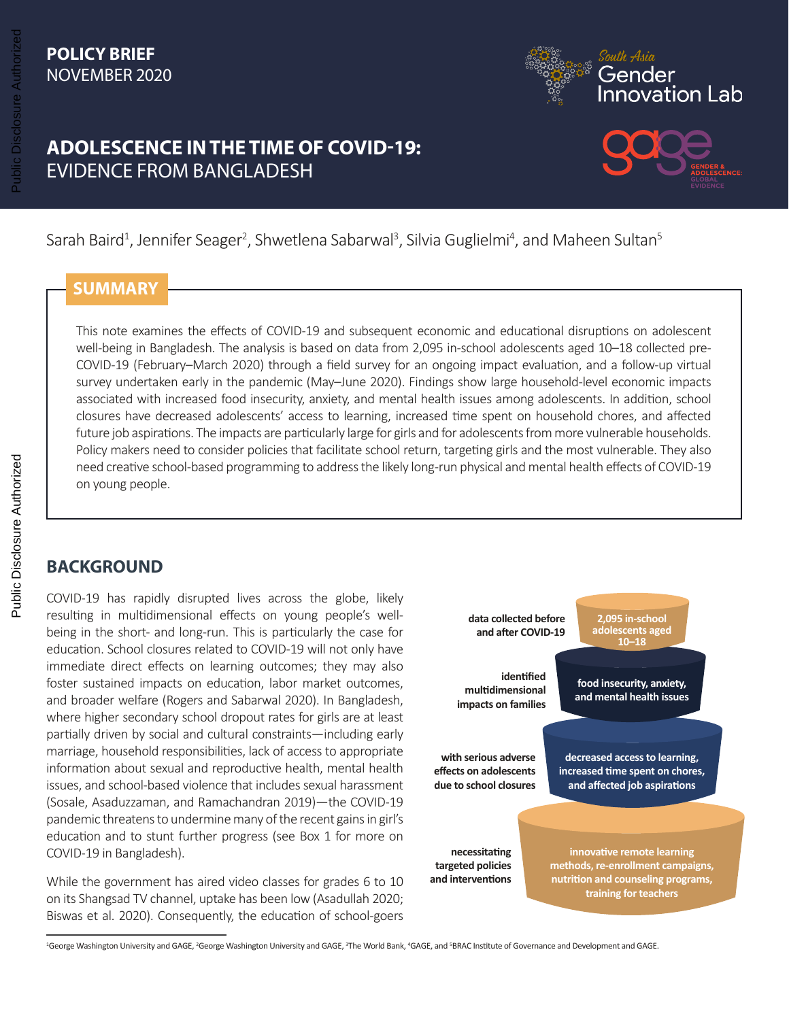### **POLICY BRIEF** NOVEMBER 2020



## **ADOLESCENCE IN THE TIME OF COVID-19:** EVIDENCE FROM BANGLADESH



Sarah Baird<sup>1</sup>, Jennifer Seager<sup>2</sup>, Shwetlena Sabarwal<sup>3</sup>, Silvia Guglielmi<sup>4</sup>, and Maheen Sultan<sup>5</sup>

### **SUMMARY**

This note examines the effects of COVID-19 and subsequent economic and educational disruptions on adolescent well-being in Bangladesh. The analysis is based on data from 2,095 in-school adolescents aged 10–18 collected pre-COVID-19 (February–March 2020) through a field survey for an ongoing impact evaluation, and a follow-up virtual survey undertaken early in the pandemic (May–June 2020). Findings show large household-level economic impacts associated with increased food insecurity, anxiety, and mental health issues among adolescents. In addition, school closures have decreased adolescents' access to learning, increased time spent on household chores, and affected future job aspirations. The impacts are particularly large for girls and for adolescents from more vulnerable households. Policy makers need to consider policies that facilitate school return, targeting girls and the most vulnerable. They also need creative school-based programming to address the likely long-run physical and mental health effects of COVID-19 on young people.

### **BACKGROUND**

COVID-19 has rapidly disrupted lives across the globe, likely resulting in multidimensional effects on young people's wellbeing in the short- and long-run. This is particularly the case for education. School closures related to COVID-19 will not only have immediate direct effects on learning outcomes; they may also foster sustained impacts on education, labor market outcomes, and broader welfare (Rogers and Sabarwal 2020). In Bangladesh, where higher secondary school dropout rates for girls are at least partially driven by social and cultural constraints—including early marriage, household responsibilities, lack of access to appropriate information about sexual and reproductive health, mental health issues, and school-based violence that includes sexual harassment (Sosale, Asaduzzaman, and Ramachandran 2019)—the COVID-19 pandemic threatens to undermine many of the recent gains in girl's education and to stunt further progress (see Box 1 for more on COVID-19 in Bangladesh).

While the government has aired video classes for grades 6 to 10 on its Shangsad TV channel, uptake has been low (Asadullah 2020; Biswas et al. 2020). Consequently, the education of school-goers



<sup>1</sup>George Washington University and GAGE, <sup>2</sup>George Washington University and GAGE, <sup>3</sup>The World Bank, <sup>4</sup>GAGE, and <sup>s</sup>BRAC Institute of Governance and Development and GAGE.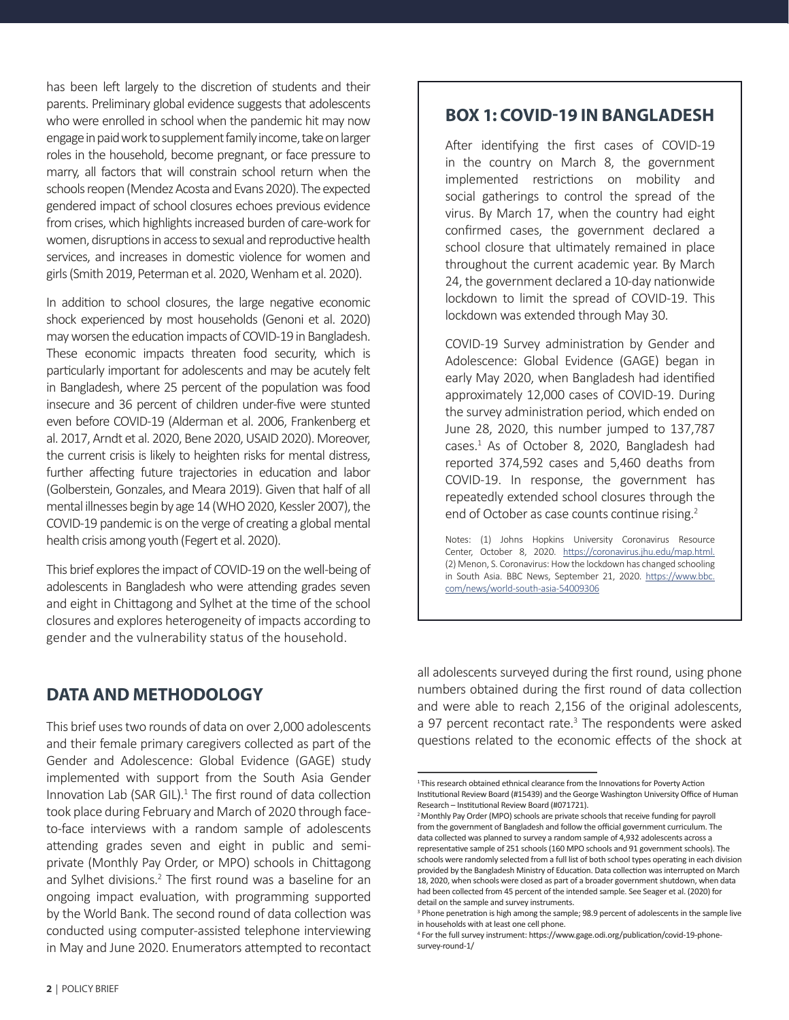has been left largely to the discretion of students and their parents. Preliminary global evidence suggests that adolescents who were enrolled in school when the pandemic hit may now engage in paid work to supplement family income, take on larger roles in the household, become pregnant, or face pressure to marry, all factors that will constrain school return when the schools reopen (Mendez Acosta and Evans 2020). The expected gendered impact of school closures echoes previous evidence from crises, which highlights increased burden of care-work for women, disruptions in access to sexual and reproductive health services, and increases in domestic violence for women and girls (Smith 2019, Peterman et al. 2020, Wenham et al. 2020).

In addition to school closures, the large negative economic shock experienced by most households (Genoni et al. 2020) may worsen the education impacts of COVID-19 in Bangladesh. These economic impacts threaten food security, which is particularly important for adolescents and may be acutely felt in Bangladesh, where 25 percent of the population was food insecure and 36 percent of children under-five were stunted even before COVID-19 (Alderman et al. 2006, Frankenberg et al. 2017, Arndt et al. 2020, Bene 2020, USAID 2020). Moreover, the current crisis is likely to heighten risks for mental distress, further affecting future trajectories in education and labor (Golberstein, Gonzales, and Meara 2019). Given that half of all mental illnesses begin by age 14 (WHO 2020, Kessler 2007), the COVID-19 pandemic is on the verge of creating a global mental health crisis among youth (Fegert et al. 2020).

This brief explores the impact of COVID-19 on the well-being of adolescents in Bangladesh who were attending grades seven and eight in Chittagong and Sylhet at the time of the school closures and explores heterogeneity of impacts according to gender and the vulnerability status of the household.

### **DATA AND METHODOLOGY**

This brief uses two rounds of data on over 2,000 adolescents and their female primary caregivers collected as part of the Gender and Adolescence: Global Evidence (GAGE) study implemented with support from the South Asia Gender Innovation Lab (SAR GIL).<sup>1</sup> The first round of data collection took place during February and March of 2020 through faceto-face interviews with a random sample of adolescents attending grades seven and eight in public and semiprivate (Monthly Pay Order, or MPO) schools in Chittagong and Sylhet divisions.<sup>2</sup> The first round was a baseline for an ongoing impact evaluation, with programming supported by the World Bank. The second round of data collection was conducted using computer-assisted telephone interviewing in May and June 2020. Enumerators attempted to recontact

### **BOX 1: COVID-19 IN BANGLADESH**

After identifying the first cases of COVID-19 in the country on March 8, the government implemented restrictions on mobility and social gatherings to control the spread of the virus. By March 17, when the country had eight confirmed cases, the government declared a school closure that ultimately remained in place throughout the current academic year. By March 24, the government declared a 10-day nationwide lockdown to limit the spread of COVID-19. This lockdown was extended through May 30.

COVID-19 Survey administration by Gender and Adolescence: Global Evidence (GAGE) began in early May 2020, when Bangladesh had identified approximately 12,000 cases of COVID-19. During the survey administration period, which ended on June 28, 2020, this number jumped to 137,787 cases.<sup>1</sup> As of October 8, 2020, Bangladesh had reported 374,592 cases and 5,460 deaths from COVID-19. In response, the government has repeatedly extended school closures through the end of October as case counts continue rising.<sup>2</sup>

Notes: (1) Johns Hopkins University Coronavirus Resource Center, October 8, 2020. [https://coronavirus.jhu.edu/map.html.](https://coronavirus.jhu.edu/map.html) (2) Menon, S. Coronavirus: How the lockdown has changed schooling in South Asia. BBC News, September 21, 2020. [https://www.bbc.](https://www.bbc.com/news/world-south-asia-54009306) [com/news/world-south-asia-54009306](https://www.bbc.com/news/world-south-asia-54009306)

all adolescents surveyed during the first round, using phone numbers obtained during the first round of data collection and were able to reach 2,156 of the original adolescents, a 97 percent recontact rate.<sup>3</sup> The respondents were asked questions related to the economic effects of the shock at

<sup>&</sup>lt;sup>1</sup>This research obtained ethnical clearance from the Innovations for Poverty Action Institutional Review Board (#15439) and the George Washington University Office of Human Research – Institutional Review Board (#071721).

<sup>&</sup>lt;sup>2</sup> Monthly Pay Order (MPO) schools are private schools that receive funding for payroll from the government of Bangladesh and follow the official government curriculum. The data collected was planned to survey a random sample of 4,932 adolescents across a representative sample of 251 schools (160 MPO schools and 91 government schools). The schools were randomly selected from a full list of both school types operating in each division provided by the Bangladesh Ministry of Education. Data collection was interrupted on March 18, 2020, when schools were closed as part of a broader government shutdown, when data had been collected from 45 percent of the intended sample. See Seager et al. (2020) for detail on the sample and survey instruments.

<sup>&</sup>lt;sup>3</sup> Phone penetration is high among the sample; 98.9 percent of adolescents in the sample live in households with at least one cell phone.

<sup>4</sup> For the full survey instrument: https://www.gage.odi.org/publication/covid-19-phonesurvey-round-1/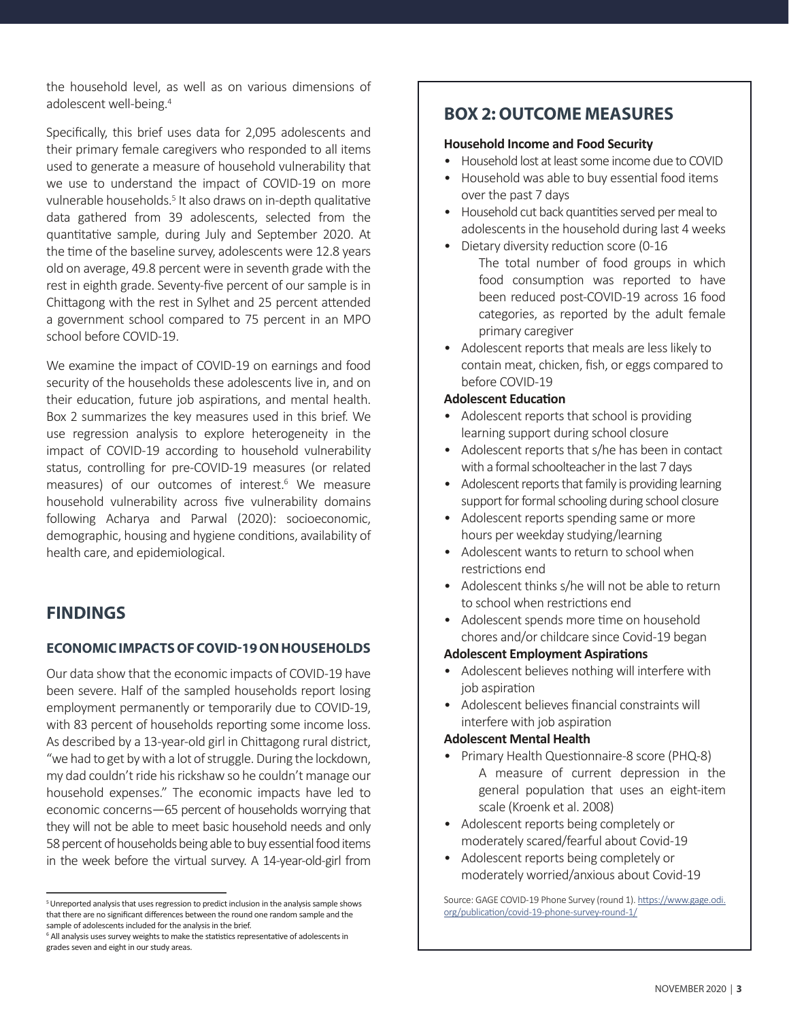the household level, as well as on various dimensions of adolescent well-being.<sup>4</sup>

Specifically, this brief uses data for 2,095 adolescents and their primary female caregivers who responded to all items used to generate a measure of household vulnerability that we use to understand the impact of COVID-19 on more vulnerable households.<sup>5</sup> It also draws on in-depth qualitative data gathered from 39 adolescents, selected from the quantitative sample, during July and September 2020. At the time of the baseline survey, adolescents were 12.8 years old on average, 49.8 percent were in seventh grade with the rest in eighth grade. Seventy-five percent of our sample is in Chittagong with the rest in Sylhet and 25 percent attended a government school compared to 75 percent in an MPO school before COVID-19.

We examine the impact of COVID-19 on earnings and food security of the households these adolescents live in, and on their education, future job aspirations, and mental health. Box 2 summarizes the key measures used in this brief. We use regression analysis to explore heterogeneity in the impact of COVID-19 according to household vulnerability status, controlling for pre-COVID-19 measures (or related measures) of our outcomes of interest.<sup>6</sup> We measure household vulnerability across five vulnerability domains following Acharya and Parwal (2020): socioeconomic, demographic, housing and hygiene conditions, availability of health care, and epidemiological.

### **FINDINGS**

### **ECONOMIC IMPACTS OF COVID-19 ON HOUSEHOLDS**

Our data show that the economic impacts of COVID-19 have been severe. Half of the sampled households report losing employment permanently or temporarily due to COVID-19, with 83 percent of households reporting some income loss. As described by a 13-year-old girl in Chittagong rural district, "we had to get by with a lot of struggle. During the lockdown, my dad couldn't ride his rickshaw so he couldn't manage our household expenses." The economic impacts have led to economic concerns—65 percent of households worrying that they will not be able to meet basic household needs and only 58 percent of households being able to buy essential food items in the week before the virtual survey. A 14-year-old-girl from

### **BOX 2: OUTCOME MEASURES**

#### **Household Income and Food Security**

- Household lost at least some income due to COVID
- Household was able to buy essential food items over the past 7 days
- Household cut back quantities served per meal to adolescents in the household during last 4 weeks
- Dietary diversity reduction score (0-16 The total number of food groups in which food consumption was reported to have been reduced post-COVID-19 across 16 food categories, as reported by the adult female primary caregiver
- Adolescent reports that meals are less likely to contain meat, chicken, fish, or eggs compared to before COVID-19

#### **Adolescent Education**

- Adolescent reports that school is providing learning support during school closure
- Adolescent reports that s/he has been in contact with a formal schoolteacher in the last 7 days
- Adolescent reports that family is providing learning support for formal schooling during school closure
- Adolescent reports spending same or more hours per weekday studying/learning
- Adolescent wants to return to school when restrictions end
- Adolescent thinks s/he will not be able to return to school when restrictions end
- Adolescent spends more time on household chores and/or childcare since Covid-19 began

#### **Adolescent Employment Aspirations**

- Adolescent believes nothing will interfere with job aspiration
- Adolescent believes financial constraints will interfere with job aspiration

#### **Adolescent Mental Health**

- Primary Health Questionnaire-8 score (PHQ-8) A measure of current depression in the general population that uses an eight-item scale (Kroenk et al. 2008)
- Adolescent reports being completely or moderately scared/fearful about Covid-19
- Adolescent reports being completely or moderately worried/anxious about Covid-19

<sup>&</sup>lt;sup>5</sup> Unreported analysis that uses regression to predict inclusion in the analysis sample shows that there are no significant differences between the round one random sample and the sample of adolescents included for the analysis in the brief.

<sup>&</sup>lt;sup>6</sup> All analysis uses survey weights to make the statistics representative of adolescents in grades seven and eight in our study areas.

Source: GAGE COVID-19 Phone Survey (round 1). [https://www.gage.odi.](https://www.gage.odi.org/publication/covid-19-phone-survey-round-1/) [org/publication/covid-19-phone-survey-round-1/](https://www.gage.odi.org/publication/covid-19-phone-survey-round-1/)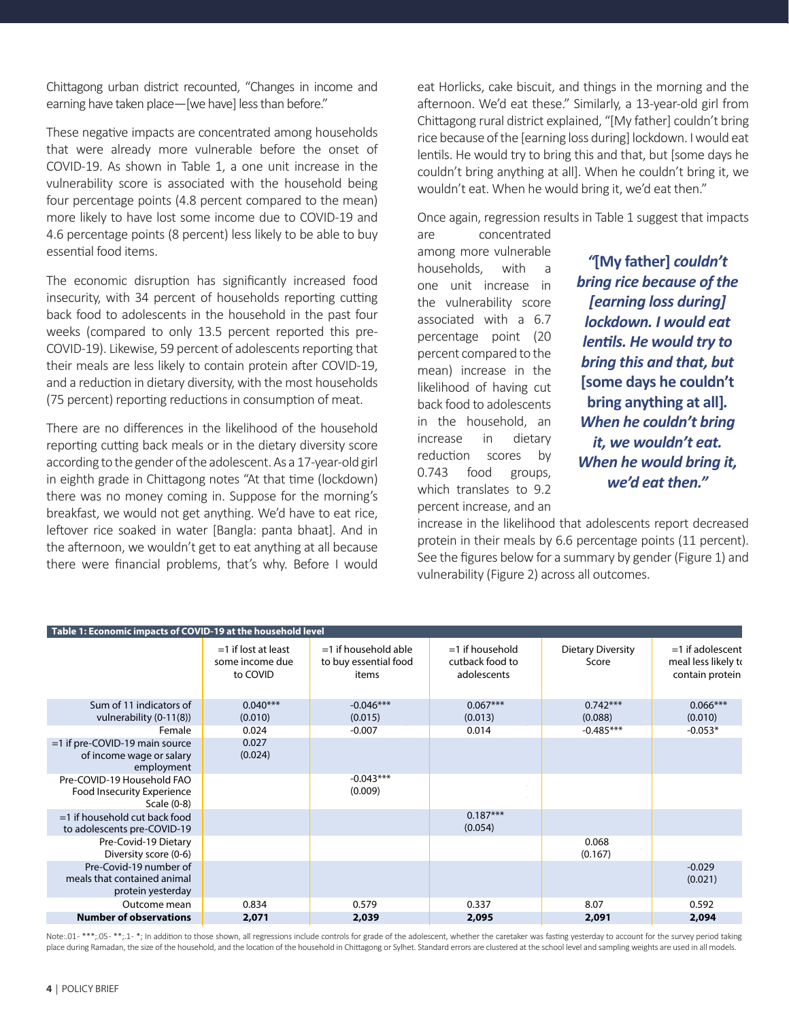Chittagong urban district recounted, "Changes in income and earning have taken place—[we have] less than before."

These negative impacts are concentrated among households that were already more vulnerable before the onset of COVID-19. As shown in Table 1, a one unit increase in the vulnerability score is associated with the household being four percentage points (4.8 percent compared to the mean) more likely to have lost some income due to COVID-19 and 4.6 percentage points (8 percent) less likely to be able to buy essential food items.

The economic disruption has significantly increased food insecurity, with 34 percent of households reporting cutting back food to adolescents in the household in the past four weeks (compared to only 13.5 percent reported this pre-COVID-19). Likewise, 59 percent of adolescents reporting that their meals are less likely to contain protein after COVID-19, and a reduction in dietary diversity, with the most households (75 percent) reporting reductions in consumption of meat.

There are no differences in the likelihood of the household reporting cutting back meals or in the dietary diversity score according to the gender of the adolescent. As a 17-year-old girl in eighth grade in Chittagong notes "At that time (lockdown) there was no money coming in. Suppose for the morning's breakfast, we would not get anything. We'd have to eat rice, leftover rice soaked in water [Bangla: panta bhaat]. And in the afternoon, we wouldn't get to eat anything at all because there were financial problems, that's why. Before I would eat Horlicks, cake biscuit, and things in the morning and the afternoon. We'd eat these." Similarly, a 13-year-old girl from Chittagong rural district explained, "[My father] couldn't bring rice because of the [earning loss during] lockdown. I would eat lentils. He would try to bring this and that, but [some days he couldn't bring anything at all]. When he couldn't bring it, we wouldn't eat. When he would bring it, we'd eat then."

Once again, regression results in Table 1 suggest that impacts

are concentrated among more vulnerable households, with a one unit increase in the vulnerability score associated with a 6.7 percentage point (20 percent compared to the mean) increase in the likelihood of having cut back food to adolescents in the household, an increase in dietary reduction scores by 0.743 food groups, which translates to 9.2 percent increase, and an

*"***[My father]** *couldn't bring rice because of the [earning loss during] lockdown. I would eat lentils. He would try to bring this and that, but*  **[some days he couldn't bring anything at all]***. When he couldn't bring it, we wouldn't eat. When he would bring it, we'd eat then."*

increase in the likelihood that adolescents report decreased protein in their meals by 6.6 percentage points (11 percent). See the figures below for a summary by gender (Figure 1) and vulnerability (Figure 2) across all outcomes.

| Table 1: Economic impacts of COVID-19 at the household level                                                                                        |                                                       |                                                          |                                                     |                                   |                                                              |  |  |
|-----------------------------------------------------------------------------------------------------------------------------------------------------|-------------------------------------------------------|----------------------------------------------------------|-----------------------------------------------------|-----------------------------------|--------------------------------------------------------------|--|--|
|                                                                                                                                                     | $=$ 1 if lost at least<br>some income due<br>to COVID | $=1$ if household able<br>to buy essential food<br>items | $=1$ if household<br>cutback food to<br>adolescents | <b>Dietary Diversity</b><br>Score | $=1$ if adolescent<br>meal less likely to<br>contain protein |  |  |
| Sum of 11 indicators of<br>vulnerability (0-11(8))                                                                                                  | $0.040***$<br>(0.010)                                 | $-0.046***$<br>(0.015)                                   | $0.067***$<br>(0.013)                               | $0.742***$<br>(0.088)             | $0.066***$<br>(0.010)                                        |  |  |
| Female                                                                                                                                              | 0.024                                                 | $-0.007$                                                 | 0.014                                               | $-0.485***$                       | $-0.053*$                                                    |  |  |
| =1 if pre-COVID-19 main source<br>of income wage or salary<br>employment<br>Pre-COVID-19 Household FAO<br>Food Insecurity Experience<br>Scale (0-8) | 0.027<br>(0.024)                                      | $-0.043***$<br>(0.009)                                   |                                                     |                                   |                                                              |  |  |
| $=$ 1 if household cut back food<br>to adolescents pre-COVID-19                                                                                     |                                                       |                                                          | $0.187***$<br>(0.054)                               |                                   |                                                              |  |  |
| Pre-Covid-19 Dietary<br>Diversity score (0-6)                                                                                                       |                                                       |                                                          |                                                     | 0.068<br>(0.167)                  |                                                              |  |  |
| Pre-Covid-19 number of<br>meals that contained animal<br>protein yesterday                                                                          |                                                       |                                                          |                                                     |                                   | $-0.029$<br>(0.021)                                          |  |  |
| Outcome mean                                                                                                                                        | 0.834                                                 | 0.579                                                    | 0.337                                               | 8.07                              | 0.592                                                        |  |  |
| <b>Number of observations</b>                                                                                                                       | 2,071                                                 | 2,039                                                    | 2,095                                               | 2,091                             | 2,094                                                        |  |  |

Note:.01-\*\*\*;.05-\*\*;.1-\*; In addition to those shown, all regressions include controls for grade of the adolescent, whether the caretaker was fasting yesterday to account for the survey period taking place during Ramadan, the size of the household, and the location of the household in Chittagong or Sylhet. Standard errors are clustered at the school level and sampling weights are used in all models.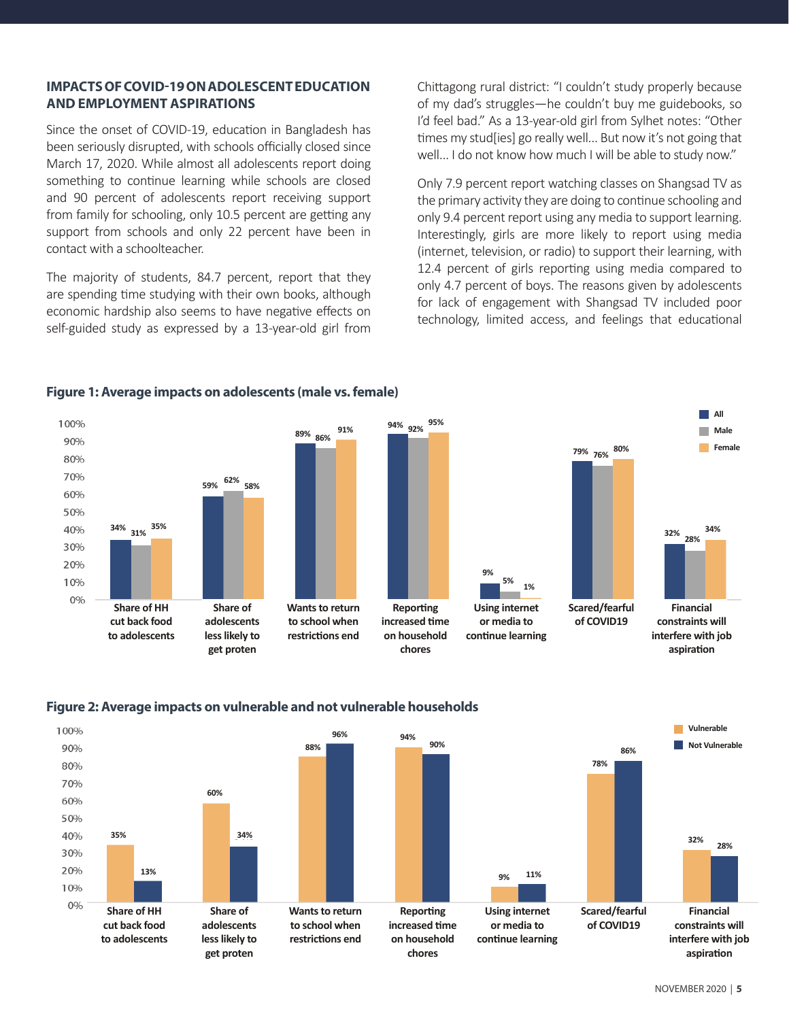#### **IMPACTS OF COVID-19 ON ADOLESCENT EDUCATION AND EMPLOYMENT ASPIRATIONS**

Since the onset of COVID-19, education in Bangladesh has been seriously disrupted, with schools officially closed since March 17, 2020. While almost all adolescents report doing something to continue learning while schools are closed and 90 percent of adolescents report receiving support from family for schooling, only 10.5 percent are getting any support from schools and only 22 percent have been in contact with a schoolteacher.

The majority of students, 84.7 percent, report that they are spending time studying with their own books, although economic hardship also seems to have negative effects on self-guided study as expressed by a 13-year-old girl from

Chittagong rural district: "I couldn't study properly because of my dad's struggles—he couldn't buy me guidebooks, so I'd feel bad." As a 13-year-old girl from Sylhet notes: "Other times my stud[ies] go really well... But now it's not going that well... I do not know how much I will be able to study now."

Only 7.9 percent report watching classes on Shangsad TV as the primary activity they are doing to continue schooling and only 9.4 percent report using any media to support learning. Interestingly, girls are more likely to report using media (internet, television, or radio) to support their learning, with 12.4 percent of girls reporting using media compared to only 4.7 percent of boys. The reasons given by adolescents for lack of engagement with Shangsad TV included poor technology, limited access, and feelings that educational



#### **Figure 1: Average impacts on adolescents (male vs. female)**



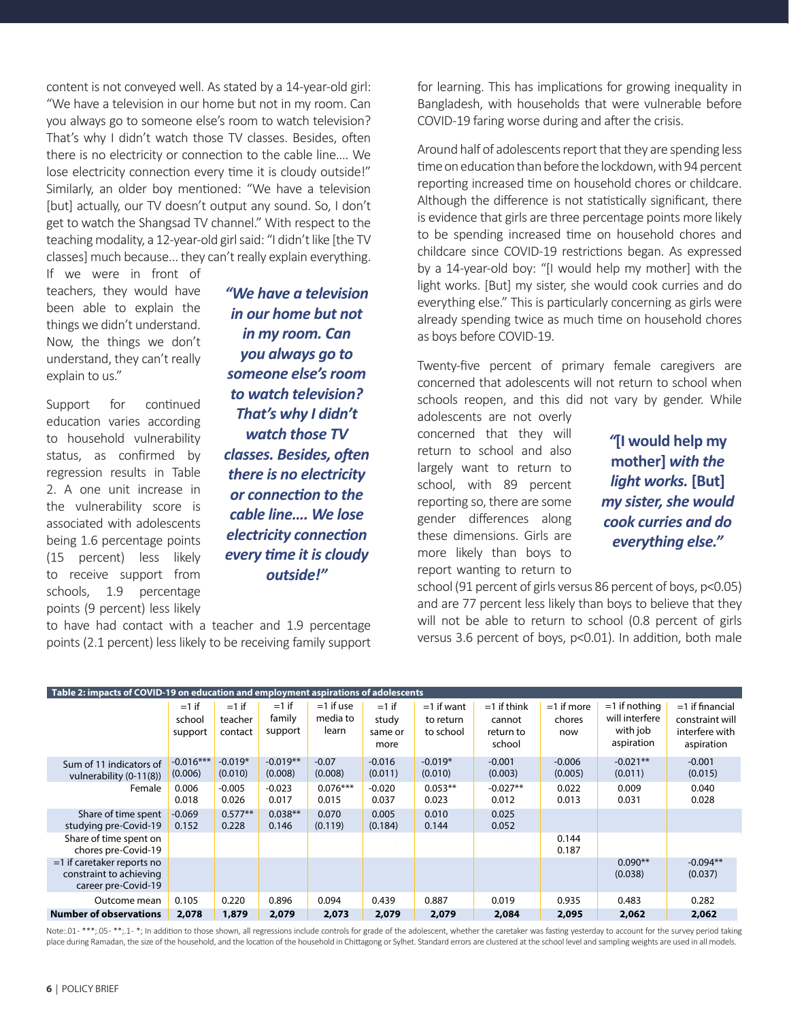content is not conveyed well. As stated by a 14-year-old girl: "We have a television in our home but not in my room. Can you always go to someone else's room to watch television? That's why I didn't watch those TV classes. Besides, often there is no electricity or connection to the cable line…. We lose electricity connection every time it is cloudy outside!" Similarly, an older boy mentioned: "We have a television [but] actually, our TV doesn't output any sound. So, I don't get to watch the Shangsad TV channel." With respect to the teaching modality, a 12-year-old girl said: "I didn't like [the TV classes] much because... they can't really explain everything.

If we were in front of teachers, they would have been able to explain the things we didn't understand. Now, the things we don't understand, they can't really explain to us."

Support for continued education varies according to household vulnerability status, as confirmed by regression results in Table 2. A one unit increase in the vulnerability score is associated with adolescents being 1.6 percentage points (15 percent) less likely to receive support from schools, 1.9 percentage points (9 percent) less likely

*"We have a television in our home but not in my room. Can you always go to someone else's room to watch television? That's why I didn't watch those TV classes. Besides, often there is no electricity or connection to the cable line…. We lose electricity connection every time it is cloudy outside!"* 

to have had contact with a teacher and 1.9 percentage points (2.1 percent) less likely to be receiving family support for learning. This has implications for growing inequality in Bangladesh, with households that were vulnerable before COVID-19 faring worse during and after the crisis.

Around half of adolescents report that they are spending less time on education than before the lockdown, with 94 percent reporting increased time on household chores or childcare. Although the difference is not statistically significant, there is evidence that girls are three percentage points more likely to be spending increased time on household chores and childcare since COVID-19 restrictions began. As expressed by a 14-year-old boy: "[I would help my mother] with the light works. [But] my sister, she would cook curries and do everything else." This is particularly concerning as girls were already spending twice as much time on household chores as boys before COVID-19.

Twenty-five percent of primary female caregivers are concerned that adolescents will not return to school when schools reopen, and this did not vary by gender. While

adolescents are not overly concerned that they will return to school and also largely want to return to school, with 89 percent reporting so, there are some gender differences along these dimensions. Girls are more likely than boys to report wanting to return to

*"***[I would help my mother]** *with the light works.* **[But]**  *my sister, she would cook curries and do everything else."*

school (91 percent of girls versus 86 percent of boys, p<0.05) and are 77 percent less likely than boys to believe that they will not be able to return to school (0.8 percent of girls versus 3.6 percent of boys, p<0.01). In addition, both male

| Table 2: impacts of COVID-19 on education and employment aspirations of adolescents |                              |                               |                              |                                  |                                     |                                        |                                                |                               |                                                             |                                                                      |
|-------------------------------------------------------------------------------------|------------------------------|-------------------------------|------------------------------|----------------------------------|-------------------------------------|----------------------------------------|------------------------------------------------|-------------------------------|-------------------------------------------------------------|----------------------------------------------------------------------|
|                                                                                     | $=1$ if<br>school<br>support | $=1$ if<br>teacher<br>contact | $=1$ if<br>family<br>support | $=1$ if use<br>media to<br>learn | $=1$ if<br>study<br>same or<br>more | $=1$ if want<br>to return<br>to school | $=1$ if think<br>cannot<br>return to<br>school | $=1$ if more<br>chores<br>now | $=1$ if nothing<br>will interfere<br>with job<br>aspiration | $=1$ if financial<br>constraint will<br>interfere with<br>aspiration |
| Sum of 11 indicators of<br>vulnerability (0-11(8))                                  | $-0.016***$<br>(0.006)       | $-0.019*$<br>(0.010)          | $-0.019**$<br>(0.008)        | $-0.07$<br>(0.008)               | $-0.016$<br>(0.011)                 | $-0.019*$<br>(0.010)                   | $-0.001$<br>(0.003)                            | $-0.006$<br>(0.005)           | $-0.021**$<br>(0.011)                                       | $-0.001$<br>(0.015)                                                  |
| Female                                                                              | 0.006<br>0.018               | $-0.005$<br>0.026             | $-0.023$<br>0.017            | $0.076***$<br>0.015              | $-0.020$<br>0.037                   | $0.053**$<br>0.023                     | $-0.027**$<br>0.012                            | 0.022<br>0.013                | 0.009<br>0.031                                              | 0.040<br>0.028                                                       |
| Share of time spent<br>studying pre-Covid-19                                        | $-0.069$<br>0.152            | $0.577**$<br>0.228            | $0.038**$<br>0.146           | 0.070<br>(0.119)                 | 0.005<br>(0.184)                    | 0.010<br>0.144                         | 0.025<br>0.052                                 |                               |                                                             |                                                                      |
| Share of time spent on<br>chores pre-Covid-19                                       |                              |                               |                              |                                  |                                     |                                        |                                                | 0.144<br>0.187                |                                                             |                                                                      |
| $=$ 1 if caretaker reports no<br>constraint to achieving<br>career pre-Covid-19     |                              |                               |                              |                                  |                                     |                                        |                                                |                               | $0.090**$<br>(0.038)                                        | $-0.094**$<br>(0.037)                                                |
| Outcome mean                                                                        | 0.105                        | 0.220                         | 0.896                        | 0.094                            | 0.439                               | 0.887                                  | 0.019                                          | 0.935                         | 0.483                                                       | 0.282                                                                |
| <b>Number of observations</b>                                                       | 2,078                        | 1,879                         | 2,079                        | 2,073                            | 2,079                               | 2,079                                  | 2,084                                          | 2,095                         | 2,062                                                       | 2,062                                                                |

Note:.01-\*\*\*;.05-\*\*;.1-\*; In addition to those shown, all regressions include controls for grade of the adolescent, whether the caretaker was fasting yesterday to account for the survey period taking place during Ramadan, the size of the household, and the location of the household in Chittagong or Sylhet. Standard errors are clustered at the school level and sampling weights are used in all models.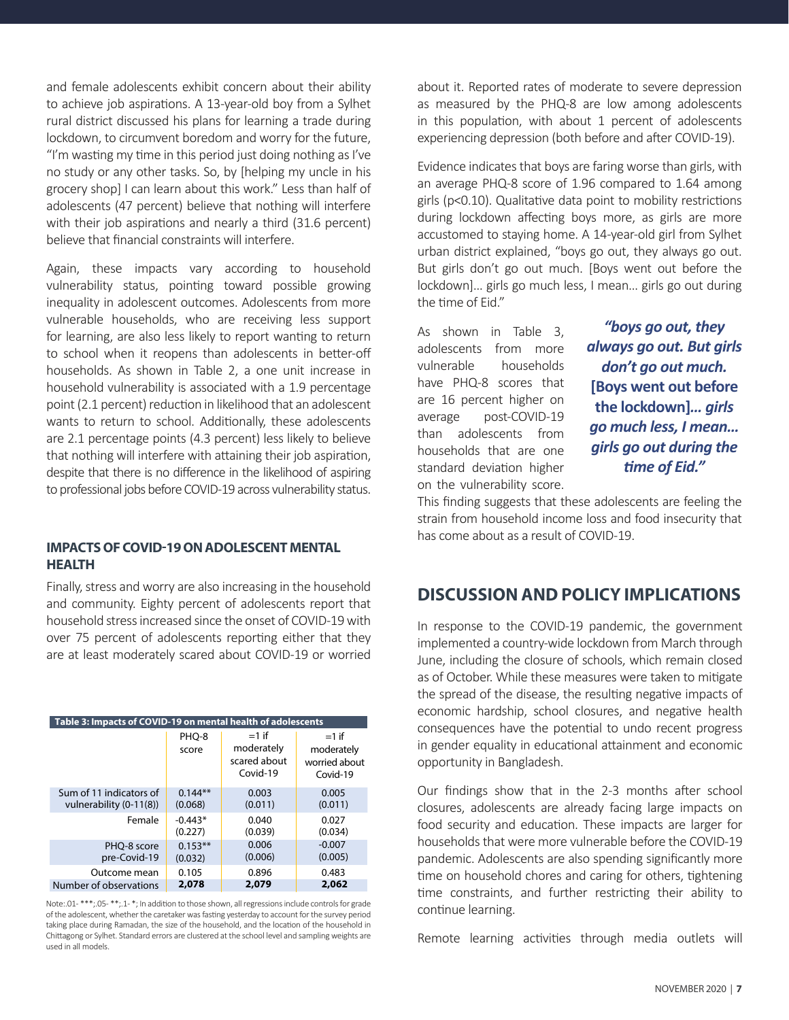and female adolescents exhibit concern about their ability to achieve job aspirations. A 13-year-old boy from a Sylhet rural district discussed his plans for learning a trade during lockdown, to circumvent boredom and worry for the future, "I'm wasting my time in this period just doing nothing as I've no study or any other tasks. So, by [helping my uncle in his grocery shop] I can learn about this work." Less than half of adolescents (47 percent) believe that nothing will interfere with their job aspirations and nearly a third (31.6 percent) believe that financial constraints will interfere.

Again, these impacts vary according to household vulnerability status, pointing toward possible growing inequality in adolescent outcomes. Adolescents from more vulnerable households, who are receiving less support for learning, are also less likely to report wanting to return to school when it reopens than adolescents in better-off households. As shown in Table 2, a one unit increase in household vulnerability is associated with a 1.9 percentage point (2.1 percent) reduction in likelihood that an adolescent wants to return to school. Additionally, these adolescents are 2.1 percentage points (4.3 percent) less likely to believe that nothing will interfere with attaining their job aspiration, despite that there is no difference in the likelihood of aspiring to professional jobs before COVID-19 across vulnerability status.

#### **IMPACTS OF COVID-19 ON ADOLESCENT MENTAL HEALTH**

Finally, stress and worry are also increasing in the household and community. Eighty percent of adolescents report that household stress increased since the onset of COVID-19 with over 75 percent of adolescents reporting either that they are at least moderately scared about COVID-19 or worried

| Table 3: Impacts of COVID-19 on mental health of adolescents |                |                                                   |                                                    |  |  |  |
|--------------------------------------------------------------|----------------|---------------------------------------------------|----------------------------------------------------|--|--|--|
|                                                              | PHO-8<br>score | $=1$ if<br>moderately<br>scared about<br>Covid-19 | $=1$ if<br>moderately<br>worried about<br>Covid-19 |  |  |  |
| Sum of 11 indicators of                                      | $0.144**$      | 0.003                                             | 0.005                                              |  |  |  |
| vulnerability (0-11(8))                                      | (0.068)        | (0.011)                                           | (0.011)                                            |  |  |  |
| Female                                                       | $-0.443*$      | 0.040                                             | 0.027                                              |  |  |  |
|                                                              | (0.227)        | (0.039)                                           | (0.034)                                            |  |  |  |
| PHO-8 score                                                  | $0.153**$      | 0.006                                             | $-0.007$                                           |  |  |  |
| pre-Covid-19                                                 | (0.032)        | (0.006)                                           | (0.005)                                            |  |  |  |
| Outcome mean                                                 | 0.105          | 0.896                                             | 0.483                                              |  |  |  |
| Number of observations                                       | 2.078          | 2,079                                             | 2.062                                              |  |  |  |

Note:.01-\*\*\*;.05-\*\*;.1-\*; In addition to those shown, all regressions include controls for grade of the adolescent, whether the caretaker was fasting yesterday to account for the survey period taking place during Ramadan, the size of the household, and the location of the household in Chittagong or Sylhet. Standard errors are clustered at the school level and sampling weights are used in all models.

about it. Reported rates of moderate to severe depression as measured by the PHQ-8 are low among adolescents in this population, with about 1 percent of adolescents experiencing depression (both before and after COVID-19).

Evidence indicates that boys are faring worse than girls, with an average PHQ-8 score of 1.96 compared to 1.64 among girls (p<0.10). Qualitative data point to mobility restrictions during lockdown affecting boys more, as girls are more accustomed to staying home. A 14-year-old girl from Sylhet urban district explained, "boys go out, they always go out. But girls don't go out much. [Boys went out before the lockdown]… girls go much less, I mean… girls go out during the time of Eid."

As shown in Table 3, adolescents from more vulnerable households have PHQ-8 scores that are 16 percent higher on average post-COVID-19 than adolescents from households that are one standard deviation higher on the vulnerability score.

*"boys go out, they always go out. But girls don't go out much.*  **[Boys went out before the lockdown]***… girls go much less, I mean… girls go out during the time of Eid."*

This finding suggests that these adolescents are feeling the strain from household income loss and food insecurity that has come about as a result of COVID-19.

### **DISCUSSION AND POLICY IMPLICATIONS**

In response to the COVID-19 pandemic, the government implemented a country-wide lockdown from March through June, including the closure of schools, which remain closed as of October. While these measures were taken to mitigate the spread of the disease, the resulting negative impacts of economic hardship, school closures, and negative health consequences have the potential to undo recent progress in gender equality in educational attainment and economic opportunity in Bangladesh.

Our findings show that in the 2-3 months after school closures, adolescents are already facing large impacts on food security and education. These impacts are larger for households that were more vulnerable before the COVID-19 pandemic. Adolescents are also spending significantly more time on household chores and caring for others, tightening time constraints, and further restricting their ability to continue learning.

Remote learning activities through media outlets will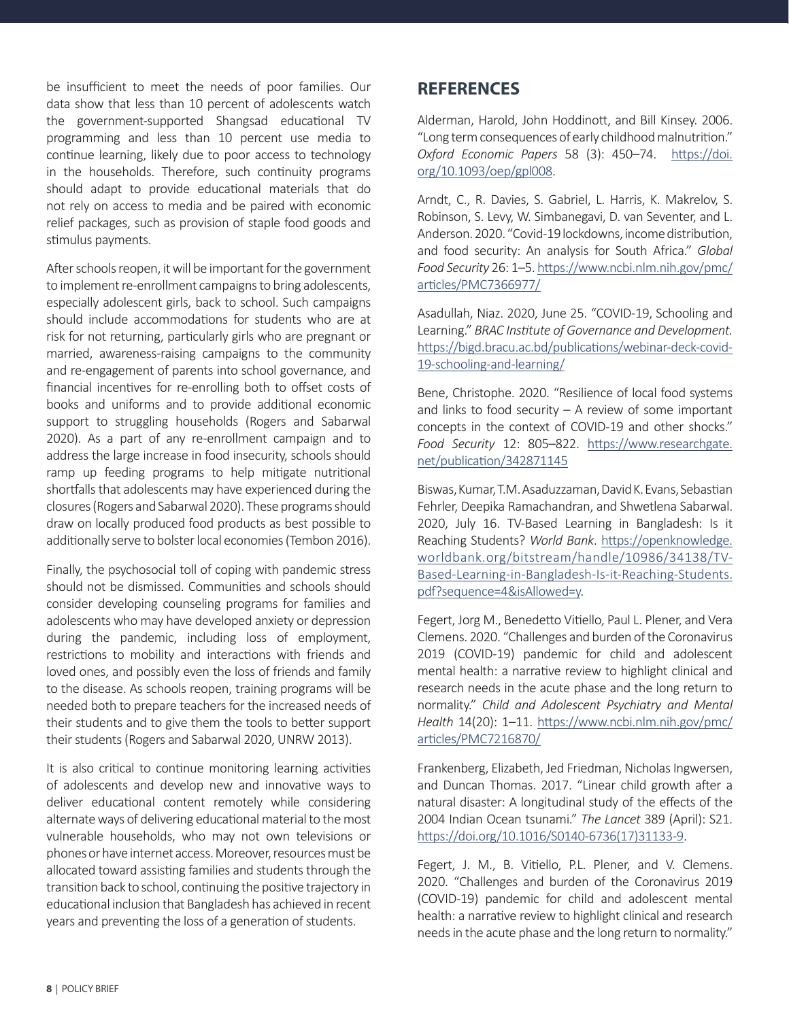be insufficient to meet the needs of poor families. Our data show that less than 10 percent of adolescents watch the government-supported Shangsad educational TV programming and less than 10 percent use media to continue learning, likely due to poor access to technology in the households. Therefore, such continuity programs should adapt to provide educational materials that do not rely on access to media and be paired with economic relief packages, such as provision of staple food goods and stimulus payments.

After schools reopen, it will be important for the government to implement re-enrollment campaigns to bring adolescents, especially adolescent girls, back to school. Such campaigns should include accommodations for students who are at risk for not returning, particularly girls who are pregnant or married, awareness-raising campaigns to the community and re-engagement of parents into school governance, and financial incentives for re-enrolling both to offset costs of books and uniforms and to provide additional economic support to struggling households (Rogers and Sabarwal 2020). As a part of any re-enrollment campaign and to address the large increase in food insecurity, schools should ramp up feeding programs to help mitigate nutritional shortfalls that adolescents may have experienced during the closures (Rogers and Sabarwal 2020). These programs should draw on locally produced food products as best possible to additionally serve to bolster local economies (Tembon 2016).

Finally, the psychosocial toll of coping with pandemic stress should not be dismissed. Communities and schools should consider developing counseling programs for families and adolescents who may have developed anxiety or depression during the pandemic, including loss of employment, restrictions to mobility and interactions with friends and loved ones, and possibly even the loss of friends and family to the disease. As schools reopen, training programs will be needed both to prepare teachers for the increased needs of their students and to give them the tools to better support their students (Rogers and Sabarwal 2020, UNRW 2013).

It is also critical to continue monitoring learning activities of adolescents and develop new and innovative ways to deliver educational content remotely while considering alternate ways of delivering educational material to the most vulnerable households, who may not own televisions or phones or have internet access. Moreover, resources must be allocated toward assisting families and students through the transition back to school, continuing the positive trajectory in educational inclusion that Bangladesh has achieved in recent years and preventing the loss of a generation of students.

### **REFERENCES**

Alderman, Harold, John Hoddinott, and Bill Kinsey. 2006. "Long term consequences of early childhood malnutrition." *Oxford Economic Papers* 58 (3): 450–74. [https://doi.](https://doi.org/10.1093/oep/gpl008) [org/10.1093/oep/gpl008.](https://doi.org/10.1093/oep/gpl008)

Arndt, C., R. Davies, S. Gabriel, L. Harris, K. Makrelov, S. Robinson, S. Levy, W. Simbanegavi, D. van Seventer, and L. Anderson. 2020. "Covid-19 lockdowns, income distribution, and food security: An analysis for South Africa." *Global Food Security* 26: 1–5. [https://www.ncbi.nlm.nih.gov/pmc/](https://www.ncbi.nlm.nih.gov/pmc/articles/PMC7366977/) [articles/PMC7366977/](https://www.ncbi.nlm.nih.gov/pmc/articles/PMC7366977/)

Asadullah, Niaz. 2020, June 25. "COVID-19, Schooling and Learning." *BRAC Institute of Governance and Development.*  [https://bigd.bracu.ac.bd/publications/webinar-deck-covid-](https://bigd.bracu.ac.bd/publications/webinar-deck-covid-19-schooling-and-learning/)[19-schooling-and-learning/](https://bigd.bracu.ac.bd/publications/webinar-deck-covid-19-schooling-and-learning/)

Bene, Christophe. 2020. "Resilience of local food systems and links to food security  $-$  A review of some important concepts in the context of COVID-19 and other shocks." *Food Security* 12: 805–822. [https://www.researchgate.](https://www.researchgate.net/publication/342871145) [net/publication/342871145](https://www.researchgate.net/publication/342871145)

Biswas, Kumar, T.M. Asaduzzaman, David K. Evans, Sebastian Fehrler, Deepika Ramachandran, and Shwetlena Sabarwal. 2020, July 16. TV-Based Learning in Bangladesh: Is it Reaching Students? *World Bank*. [https://openknowledge.](https://openknowledge.worldbank.org/bitstream/handle/10986/34138/TV-Based-Learning-in-Bangladesh-Is-it-Reaching-Students.pdf?sequence=4&isAllowed=y) [worldbank.org/bitstream/handle/10986/34138/TV-](https://openknowledge.worldbank.org/bitstream/handle/10986/34138/TV-Based-Learning-in-Bangladesh-Is-it-Reaching-Students.pdf?sequence=4&isAllowed=y)[Based-Learning-in-Bangladesh-Is-it-Reaching-Students.](https://openknowledge.worldbank.org/bitstream/handle/10986/34138/TV-Based-Learning-in-Bangladesh-Is-it-Reaching-Students.pdf?sequence=4&isAllowed=y) [pdf?sequence=4&isAllowed=y.](https://openknowledge.worldbank.org/bitstream/handle/10986/34138/TV-Based-Learning-in-Bangladesh-Is-it-Reaching-Students.pdf?sequence=4&isAllowed=y)

Fegert, Jorg M., Benedetto Vitiello, Paul L. Plener, and Vera Clemens. 2020. "Challenges and burden of the Coronavirus 2019 (COVID-19) pandemic for child and adolescent mental health: a narrative review to highlight clinical and research needs in the acute phase and the long return to normality." *Child and Adolescent Psychiatry and Mental Health* 14(20): 1–11. [https://www.ncbi.nlm.nih.gov/pmc/](https://www.ncbi.nlm.nih.gov/pmc/articles/PMC7216870/) [articles/PMC7216870/](https://www.ncbi.nlm.nih.gov/pmc/articles/PMC7216870/)

Frankenberg, Elizabeth, Jed Friedman, Nicholas Ingwersen, and Duncan Thomas. 2017. "Linear child growth after a natural disaster: A longitudinal study of the effects of the 2004 Indian Ocean tsunami." *The Lancet* 389 (April): S21. [https://doi.org/10.1016/S0140-6736\(17\)31133-9.](https://doi.org/10.1016/S0140-6736(17)31133-9)

Fegert, J. M., B. Vitiello, P.L. Plener, and V. Clemens. 2020. "Challenges and burden of the Coronavirus 2019 (COVID-19) pandemic for child and adolescent mental health: a narrative review to highlight clinical and research needs in the acute phase and the long return to normality."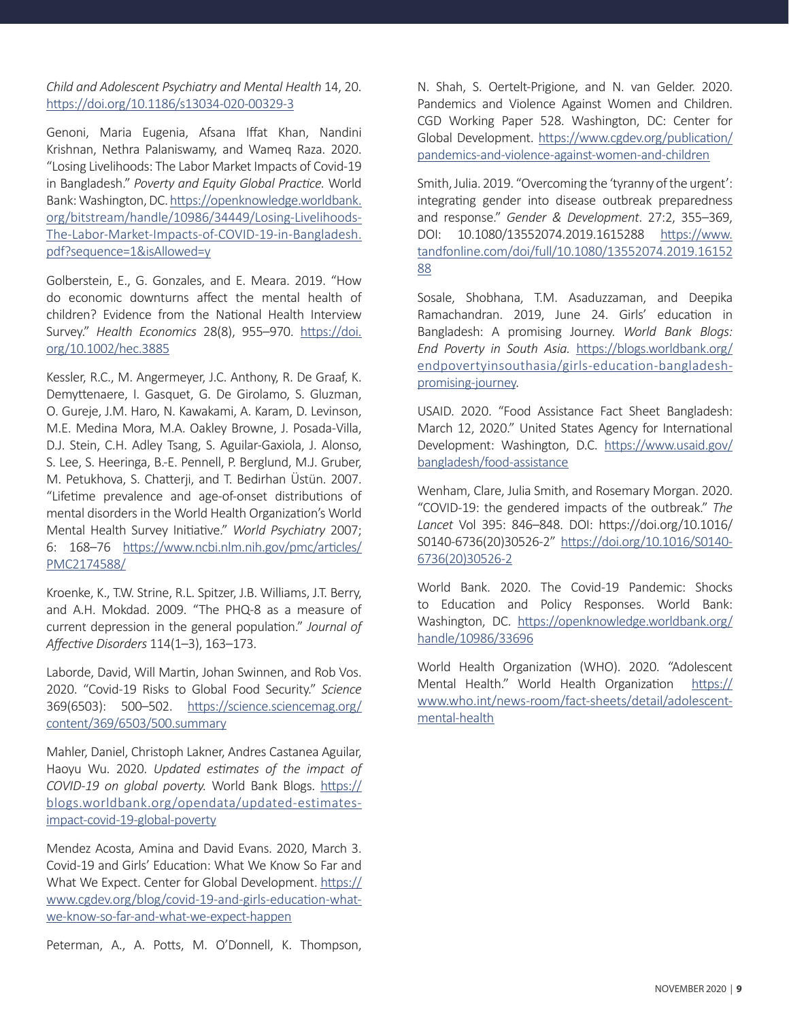#### *Child and Adolescent Psychiatry and Mental Health* 14, 20. <https://doi.org/10.1186/s13034-020-00329-3>

Genoni, Maria Eugenia, Afsana Iffat Khan, Nandini Krishnan, Nethra Palaniswamy, and Wameq Raza. 2020. "Losing Livelihoods: The Labor Market Impacts of Covid-19 in Bangladesh." *Poverty and Equity Global Practice.* World Bank: Washington, DC. [https://openknowledge.worldbank.](https://openknowledge.worldbank.org/bitstream/handle/10986/34449/Losing-Livelihoods-The-Labor-Market-Impacts-of-COVID-19-in-Bangladesh.pdf?sequence=1&isAllowed=y) [org/bitstream/handle/10986/34449/Losing-Livelihoods-](https://openknowledge.worldbank.org/bitstream/handle/10986/34449/Losing-Livelihoods-The-Labor-Market-Impacts-of-COVID-19-in-Bangladesh.pdf?sequence=1&isAllowed=y)[The-Labor-Market-Impacts-of-COVID-19-in-Bangladesh.](https://openknowledge.worldbank.org/bitstream/handle/10986/34449/Losing-Livelihoods-The-Labor-Market-Impacts-of-COVID-19-in-Bangladesh.pdf?sequence=1&isAllowed=y) [pdf?sequence=1&isAllowed=y](https://openknowledge.worldbank.org/bitstream/handle/10986/34449/Losing-Livelihoods-The-Labor-Market-Impacts-of-COVID-19-in-Bangladesh.pdf?sequence=1&isAllowed=y)

Golberstein, E., G. Gonzales, and E. Meara. 2019. "How do economic downturns affect the mental health of children? Evidence from the National Health Interview Survey." *Health Economics* 28(8), 955–970. [https://doi.](https://doi.org/10.1002/hec.3885) [org/10.1002/hec.3885](https://doi.org/10.1002/hec.3885)

Kessler, R.C., M. Angermeyer, J.C. Anthony, R. De Graaf, K. Demyttenaere, I. Gasquet, G. De Girolamo, S. Gluzman, O. Gureje, J.M. Haro, N. Kawakami, A. Karam, D. Levinson, M.E. Medina Mora, M.A. Oakley Browne, J. Posada-Villa, D.J. Stein, C.H. Adley Tsang, S. Aguilar-Gaxiola, J. Alonso, S. Lee, S. Heeringa, B.-E. Pennell, P. Berglund, M.J. Gruber, M. Petukhova, S. Chatterji, and T. Bedirhan Üstün. 2007. "Lifetime prevalence and age-of-onset distributions of mental disorders in the World Health Organization's World Mental Health Survey Initiative." *World Psychiatry* 2007; 6: 168–76 [https://www.ncbi.nlm.nih.gov/pmc/articles/](https://www.ncbi.nlm.nih.gov/pmc/articles/PMC2174588/) [PMC2174588/](https://www.ncbi.nlm.nih.gov/pmc/articles/PMC2174588/)

Kroenke, K., T.W. Strine, R.L. Spitzer, J.B. Williams, J.T. Berry, and A.H. Mokdad. 2009. "The PHQ-8 as a measure of current depression in the general population." *Journal of Affective Disorders* 114(1–3), 163–173.

Laborde, David, Will Martin, Johan Swinnen, and Rob Vos. 2020. "Covid-19 Risks to Global Food Security." *Science*  369(6503): 500–502. [https://science.sciencemag.org/](https://science.sciencemag.org/content/369/6503/500.summary) [content/369/6503/500.summary](https://science.sciencemag.org/content/369/6503/500.summary)

Mahler, Daniel, Christoph Lakner, Andres Castanea Aguilar, Haoyu Wu. 2020. *Updated estimates of the impact of COVID-19 on global poverty.* World Bank Blogs. [https://](https://blogs.worldbank.org/opendata/updated-estimates-impact-covid-19-global-poverty) [blogs.worldbank.org/opendata/updated-estimates](https://blogs.worldbank.org/opendata/updated-estimates-impact-covid-19-global-poverty)[impact-covid-19-global-poverty](https://blogs.worldbank.org/opendata/updated-estimates-impact-covid-19-global-poverty)

Mendez Acosta, Amina and David Evans. 2020, March 3. Covid-19 and Girls' Education: What We Know So Far and What We Expect. Center for Global Development. [https://](https://www.cgdev.org/blog/covid-19-and-girls-education-what-we-know-so-far-and-what-we-expect-happen) [www.cgdev.org/blog/covid-19-and-girls-education-what](https://www.cgdev.org/blog/covid-19-and-girls-education-what-we-know-so-far-and-what-we-expect-happen)[we-know-so-far-and-what-we-expect-happen](https://www.cgdev.org/blog/covid-19-and-girls-education-what-we-know-so-far-and-what-we-expect-happen)

Peterman, A., A. Potts, M. O'Donnell, K. Thompson,

N. Shah, S. Oertelt-Prigione, and N. van Gelder. 2020. Pandemics and Violence Against Women and Children. CGD Working Paper 528. Washington, DC: Center for Global Development. [https://www.cgdev.org/publication/](https://www.cgdev.org/publication/pandemics-and-violence-against-women-and-children) [pandemics-and-violence-against-women-and-children](https://www.cgdev.org/publication/pandemics-and-violence-against-women-and-children)

Smith, Julia. 2019. "Overcoming the 'tyranny of the urgent': integrating gender into disease outbreak preparedness and response." *Gender & Development*. 27:2, 355–369, DOI: 10.1080/13552074.2019.1615288 [https://www.](https://www.tandfonline.com/doi/full/10.1080/13552074.2019.1615288 ) [tandfonline.com/doi/full/10.1080/13552074.2019.16152](https://www.tandfonline.com/doi/full/10.1080/13552074.2019.1615288 ) [88](https://www.tandfonline.com/doi/full/10.1080/13552074.2019.1615288 )

Sosale, Shobhana, T.M. Asaduzzaman, and Deepika Ramachandran. 2019, June 24. Girls' education in Bangladesh: A promising Journey. *World Bank Blogs: End Poverty in South Asia.* [https://blogs.worldbank.org/](https://blogs.worldbank.org/endpovertyinsouthasia/girls-education-bangladesh-promising-journey) [endpovertyinsouthasia/girls-education-bangladesh](https://blogs.worldbank.org/endpovertyinsouthasia/girls-education-bangladesh-promising-journey)[promising-journey](https://blogs.worldbank.org/endpovertyinsouthasia/girls-education-bangladesh-promising-journey).

USAID. 2020. "Food Assistance Fact Sheet Bangladesh: March 12, 2020." United States Agency for International Development: Washington, D.C. [https://www.usaid.gov/](https://www.usaid.gov/bangladesh/food-assistance) [bangladesh/food-assistance](https://www.usaid.gov/bangladesh/food-assistance)

Wenham, Clare, Julia Smith, and Rosemary Morgan. 2020. "COVID-19: the gendered impacts of the outbreak." *The Lancet* Vol 395: 846–848. DOI: https://doi.org/10.1016/ S0140-6736(20)30526-2" [https://doi.org/10.1016/S0140-](https://doi.org/10.1016/S0140-6736(20)30526-2) [6736\(20\)30526-2](https://doi.org/10.1016/S0140-6736(20)30526-2)

World Bank. 2020. The Covid-19 Pandemic: Shocks to Education and Policy Responses. World Bank: Washington, DC. [https://openknowledge.worldbank.org/](https://openknowledge.worldbank.org/handle/10986/33696) [handle/10986/33696](https://openknowledge.worldbank.org/handle/10986/33696)

World Health Organization (WHO). 2020. "Adolescent Mental Health." World Health Organization [https://](https://www.who.int/news-room/fact-sheets/detail/adolescent-mental-health) [www.who.int/news-room/fact-sheets/detail/adolescent](https://www.who.int/news-room/fact-sheets/detail/adolescent-mental-health)[mental-health](https://www.who.int/news-room/fact-sheets/detail/adolescent-mental-health)